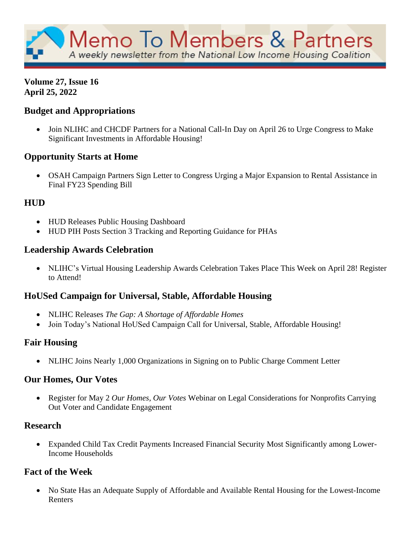

#### **Volume 27, Issue 16 April 25, 2022**

## **Budget and Appropriations**

• Join NLIHC and CHCDF Partners for a National Call-In Day on April 26 to Urge Congress to Make Significant Investments in Affordable Housing!

## **Opportunity Starts at Home**

• OSAH Campaign Partners Sign Letter to Congress Urging a Major Expansion to Rental Assistance in Final FY23 Spending Bill

## **HUD**

- HUD Releases Public Housing Dashboard
- HUD PIH Posts Section 3 Tracking and Reporting Guidance for PHAs

## **Leadership Awards Celebration**

• NLIHC's Virtual Housing Leadership Awards Celebration Takes Place This Week on April 28! Register to Attend!

## **HoUSed Campaign for Universal, Stable, Affordable Housing**

- NLIHC Releases *The Gap: A Shortage of Affordable Homes*
- Join Today's National HoUSed Campaign Call for Universal, Stable, Affordable Housing!

## **Fair Housing**

• NLIHC Joins Nearly 1,000 Organizations in Signing on to Public Charge Comment Letter

## **Our Homes, Our Votes**

• Register for May 2 *Our Homes, Our Votes* Webinar on Legal Considerations for Nonprofits Carrying Out Voter and Candidate Engagement

## **Research**

• Expanded Child Tax Credit Payments Increased Financial Security Most Significantly among Lower-Income Households

## **Fact of the Week**

• No State Has an Adequate Supply of Affordable and Available Rental Housing for the Lowest-Income Renters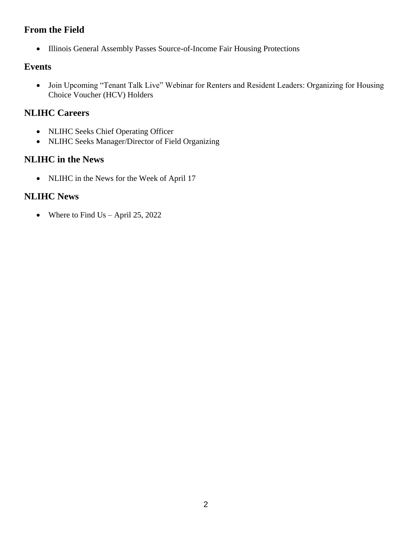## **From the Field**

• Illinois General Assembly Passes Source-of-Income Fair Housing Protections

## **Events**

• Join Upcoming "Tenant Talk Live" Webinar for Renters and Resident Leaders: Organizing for Housing Choice Voucher (HCV) Holders

## **NLIHC Careers**

- NLIHC Seeks Chief Operating Officer
- NLIHC Seeks Manager/Director of Field Organizing

## **NLIHC in the News**

• NLIHC in the News for the Week of April 17

## **NLIHC News**

• Where to Find Us – April 25, 2022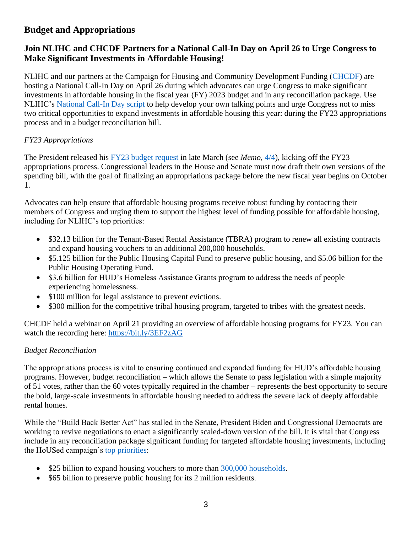## **Budget and Appropriations**

### **Join NLIHC and CHCDF Partners for a National Call-In Day on April 26 to Urge Congress to Make Significant Investments in Affordable Housing!**

NLIHC and our partners at the Campaign for Housing and Community Development Funding [\(CHCDF\)](https://nlihc.org/explore-issues/projects-campaigns/campaign-housing-and-community-development-funding) are hosting a National Call-In Day on April 26 during which advocates can urge Congress to make significant investments in affordable housing in the fiscal year (FY) 2023 budget and in any reconciliation package. Use NLIHC's [National Call-In Day script](https://nlihc.org/sites/default/files/CHCDF_Call_Script.pdf) to help develop your own talking points and urge Congress not to miss two critical opportunities to expand investments in affordable housing this year: during the FY23 appropriations process and in a budget reconciliation bill.

### *FY23 Appropriations*

The President released his [FY23 budget request](https://nlihc.org/resource/analysis-president-bidens-fy-2023-budget-request) in late March (see *Memo*, [4/4\)](https://nlihc.org/resource/biden-administrations-budget-request-signals-start-fy23-appropriations-season-take-action), kicking off the FY23 appropriations process. Congressional leaders in the House and Senate must now draft their own versions of the spending bill, with the goal of finalizing an appropriations package before the new fiscal year begins on October 1.

Advocates can help ensure that affordable housing programs receive robust funding by contacting their members of Congress and urging them to support the highest level of funding possible for affordable housing, including for NLIHC's top priorities:

- \$32.13 billion for the Tenant-Based Rental Assistance (TBRA) program to renew all existing contracts and expand housing vouchers to an additional 200,000 households.
- \$5.125 billion for the Public Housing Capital Fund to preserve public housing, and \$5.06 billion for the Public Housing Operating Fund.
- \$3.6 billion for HUD's Homeless Assistance Grants program to address the needs of people experiencing homelessness.
- \$100 million for legal assistance to prevent evictions.
- \$300 million for the competitive tribal housing program, targeted to tribes with the greatest needs.

CHCDF held a webinar on April 21 providing an overview of affordable housing programs for FY23. You can watch the recording here:<https://bit.ly/3EF2zAG>

#### *Budget Reconciliation*

The appropriations process is vital to ensuring continued and expanded funding for HUD's affordable housing programs. However, budget reconciliation – which allows the Senate to pass legislation with a simple majority of 51 votes, rather than the 60 votes typically required in the chamber – represents the best opportunity to secure the bold, large-scale investments in affordable housing needed to address the severe lack of deeply affordable rental homes.

While the "Build Back Better Act" has stalled in the Senate, President Biden and Congressional Democrats are working to revive negotiations to enact a significantly scaled-down version of the bill. It is vital that Congress include in any reconciliation package significant funding for targeted affordable housing investments, including the HoUSed campaign's [top priorities:](https://nlihc.org/sites/default/files/Historic-Housing-Investments-in-the-Build-Back-Better-Act.pdf)

- \$25 billion to expand housing vouchers to more than [300,000 households.](https://www.cbpp.org/blog/bbb-includes-major-investments-in-housing-affordability?utm_source=NLIHC+All+Subscribers&utm_campaign=8a6570fcb2-cta_Housed_01252022&utm_medium=email&utm_term=0_e090383b5e-8a6570fcb2-293290537&ct=t(cta_Housed_01252022))
- \$65 billion to preserve public housing for its 2 million residents.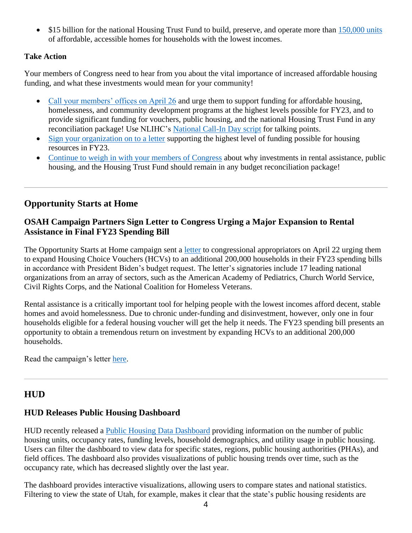• \$15 billion for the national Housing Trust Fund to build, preserve, and operate more than [150,000 units](https://nlihc.org/sites/default/files/housed_NHTF_allocations-15B.pdf?utm_source=NLIHC+All+Subscribers&utm_campaign=ed4a18dffa-CTA_housed_120221&utm_medium=email&utm_term=0_e090383b5e-ed4a18dffa-293290537&ct=t(CTA_housed_120221)) of affordable, accessible homes for households with the lowest incomes.

#### **Take Action**

Your members of Congress need to hear from you about the vital importance of increased affordable housing funding, and what these investments would mean for your community!

- [Call your members' offices on April 26](https://nlihc.secure.force.com/actions/TakeActionNew?actionId=AR00943&utm_source=NLIHC+All+Subscribers&utm_campaign=a7b2398138-natl-call_summary_03-28-2022&utm_medium=email&utm_term=0_e090383b5e-a7b2398138-&ct=t(natl-call_summary_03-28-2022)) and urge them to support funding for affordable housing, homelessness, and community development programs at the highest levels possible for FY23, and to provide significant funding for vouchers, public housing, and the national Housing Trust Fund in any reconciliation package! Use NLIHC's [National Call-In Day script](https://nlihc.org/sites/default/files/CHCDF_Call_Script.pdf) for talking points.
- [Sign your organization on to a letter](https://nlihc.secure.force.com/actions/CapturePetitionNew?actionId=AR00956) supporting the highest level of funding possible for housing resources in FY23.
- [Continue to weigh in with your members of Congress](https://nlihc.secure.force.com/actions/TakeActionNew?actionId=AR00943&utm_source=NLIHC+All+Subscribers&utm_campaign=a7b2398138-natl-call_summary_03-28-2022&utm_medium=email&utm_term=0_e090383b5e-a7b2398138-&ct=t(natl-call_summary_03-28-2022)) about why investments in rental assistance, public housing, and the Housing Trust Fund should remain in any budget reconciliation package!

### **Opportunity Starts at Home**

#### **OSAH Campaign Partners Sign Letter to Congress Urging a Major Expansion to Rental Assistance in Final FY23 Spending Bill**

The Opportunity Starts at Home campaign sent a [letter](https://www.opportunityhome.org/wp-content/uploads/2022/04/OSAH-sign-on-FY23-Approps.pdf) to congressional appropriators on April 22 urging them to expand Housing Choice Vouchers (HCVs) to an additional 200,000 households in their FY23 spending bills in accordance with President Biden's budget request. The letter's signatories include 17 leading national organizations from an array of sectors, such as the American Academy of Pediatrics, Church World Service, Civil Rights Corps, and the National Coalition for Homeless Veterans.

Rental assistance is a critically important tool for helping people with the lowest incomes afford decent, stable homes and avoid homelessness. Due to chronic under-funding and disinvestment, however, only one in four households eligible for a federal housing voucher will get the help it needs. The FY23 spending bill presents an opportunity to obtain a tremendous return on investment by expanding HCVs to an additional 200,000 households.

Read the campaign's letter [here.](https://www.opportunityhome.org/wp-content/uploads/2022/04/OSAH-sign-on-FY23-Approps.pdf)

#### **HUD**

#### **HUD Releases Public Housing Dashboard**

HUD recently released a [Public Housing Data Dashboard](https://www.hud.gov/program_offices/public_indian_housing/programs/ph/PH_Dashboard?utm_medium=email&utm_source=govdelivery) providing information on the number of public housing units, occupancy rates, funding levels, household demographics, and utility usage in public housing. Users can filter the dashboard to view data for specific states, regions, public housing authorities (PHAs), and field offices. The dashboard also provides visualizations of public housing trends over time, such as the occupancy rate, which has decreased slightly over the last year.

The dashboard provides interactive visualizations, allowing users to compare states and national statistics. Filtering to view the state of Utah, for example, makes it clear that the state's public housing residents are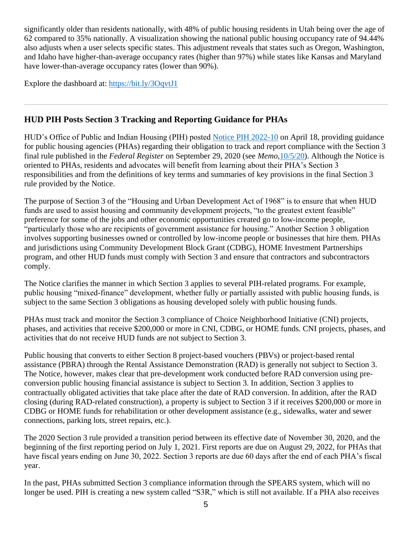significantly older than residents nationally, with 48% of public housing residents in Utah being over the age of 62 compared to 35% nationally. A visualization showing the national public housing occupancy rate of 94.44% also adjusts when a user selects specific states. This adjustment reveals that states such as Oregon, Washington, and Idaho have higher-than-average occupancy rates (higher than 97%) while states like Kansas and Maryland have lower-than-average occupancy rates (lower than 90%).

Explore the dashboard at:<https://bit.ly/3OqvtJ1>

## **HUD PIH Posts Section 3 Tracking and Reporting Guidance for PHAs**

HUD's Office of Public and Indian Housing (PIH) posted [Notice PIH 2022-10](https://www.hud.gov/sites/dfiles/PIH/documents/PIH2022-10.pdf) on April 18, providing guidance for public housing agencies (PHAs) regarding their obligation to track and report compliance with the Section 3 final rule published in the *Federal Register* on September 29, 2020 (see *Memo,*[10/5/20\)](https://nlihc.org/resource/hud-publishes-final-section-3-rule). Although the Notice is oriented to PHAs, residents and advocates will benefit from learning about their PHA's Section 3 responsibilities and from the definitions of key terms and summaries of key provisions in the final Section 3 rule provided by the Notice.

The purpose of Section 3 of the "Housing and Urban Development Act of 1968" is to ensure that when HUD funds are used to assist housing and community development projects, "to the greatest extent feasible" preference for some of the jobs and other economic opportunities created go to low-income people, "particularly those who are recipients of government assistance for housing." Another Section 3 obligation involves supporting businesses owned or controlled by low-income people or businesses that hire them. PHAs and jurisdictions using Community Development Block Grant (CDBG), HOME Investment Partnerships program, and other HUD funds must comply with Section 3 and ensure that contractors and subcontractors comply.

The Notice clarifies the manner in which Section 3 applies to several PIH-related programs. For example, public housing "mixed-finance" development, whether fully or partially assisted with public housing funds, is subject to the same Section 3 obligations as housing developed solely with public housing funds.

PHAs must track and monitor the Section 3 compliance of Choice Neighborhood Initiative (CNI) projects, phases, and activities that receive \$200,000 or more in CNI, CDBG, or HOME funds. CNI projects, phases, and activities that do not receive HUD funds are not subject to Section 3.

Public housing that converts to either Section 8 project-based vouchers (PBVs) or project-based rental assistance (PBRA) through the Rental Assistance Demonstration (RAD) is generally not subject to Section 3. The Notice, however, makes clear that pre-development work conducted before RAD conversion using preconversion public housing financial assistance is subject to Section 3. In addition, Section 3 applies to contractually obligated activities that take place after the date of RAD conversion. In addition, after the RAD closing (during RAD-related construction), a property is subject to Section 3 if it receives \$200,000 or more in CDBG or HOME funds for rehabilitation or other development assistance (e.g., sidewalks, water and sewer connections, parking lots, street repairs, etc.).

The 2020 Section 3 rule provided a transition period between its effective date of November 30, 2020, and the beginning of the first reporting period on July 1, 2021. First reports are due on August 29, 2022, for PHAs that have fiscal years ending on June 30, 2022. Section 3 reports are due 60 days after the end of each PHA's fiscal year.

In the past, PHAs submitted Section 3 compliance information through the SPEARS system, which will no longer be used. PIH is creating a new system called "S3R," which is still not available. If a PHA also receives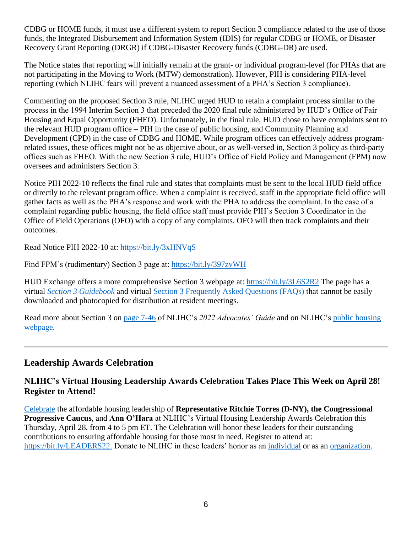CDBG or HOME funds, it must use a different system to report Section 3 compliance related to the use of those funds, the Integrated Disbursement and Information System (IDIS) for regular CDBG or HOME, or Disaster Recovery Grant Reporting (DRGR) if CDBG-Disaster Recovery funds (CDBG-DR) are used.

The Notice states that reporting will initially remain at the grant- or individual program-level (for PHAs that are not participating in the Moving to Work (MTW) demonstration). However, PIH is considering PHA-level reporting (which NLIHC fears will prevent a nuanced assessment of a PHA's Section 3 compliance).

Commenting on the proposed Section 3 rule, NLIHC urged HUD to retain a complaint process similar to the process in the 1994 Interim Section 3 that preceded the 2020 final rule administered by HUD's Office of Fair Housing and Equal Opportunity (FHEO). Unfortunately, in the final rule, HUD chose to have complaints sent to the relevant HUD program office – PIH in the case of public housing, and Community Planning and Development (CPD) in the case of CDBG and HOME. While program offices can effectively address programrelated issues, these offices might not be as objective about, or as well-versed in, Section 3 policy as third-party offices such as FHEO. With the new Section 3 rule, HUD's Office of Field Policy and Management (FPM) now oversees and administers Section 3.

Notice PIH 2022-10 reflects the final rule and states that complaints must be sent to the local HUD field office or directly to the relevant program office. When a complaint is received, staff in the appropriate field office will gather facts as well as the PHA's response and work with the PHA to address the complaint. In the case of a complaint regarding public housing, the field office staff must provide PIH's Section 3 Coordinator in the Office of Field Operations (OFO) with a copy of any complaints. OFO will then track complaints and their outcomes.

Read Notice PIH 2022-10 at:<https://bit.ly/3xHNVqS>

Find FPM's (rudimentary) Section 3 page at:<https://bit.ly/397zvWH>

HUD Exchange offers a more comprehensive Section 3 webpage at:<https://bit.ly/3L6S2R2> The page has a virtual *[Section 3 Guidebook](https://www.hudexchange.info/programs/section-3/section-3-guidebook/welcome/)* and virtual [Section 3 Frequently Asked Questions \(FAQs\)](https://www.hudexchange.info/section-3/faqs/) that cannot be easily downloaded and photocopied for distribution at resident meetings.

Read more about Section 3 on [page 7-46](https://nlihc.org/sites/default/files/2022-03/2022AG_7-08_Section-3.pdf) of NLIHC's *2022 Advocates' Guide* and on NLIHC's [public housing](https://nlihc.org/explore-issues/housing-programs/public-housing)  [webpage.](https://nlihc.org/explore-issues/housing-programs/public-housing)

## **Leadership Awards Celebration**

#### **NLIHC's Virtual Housing Leadership Awards Celebration Takes Place This Week on April 28! Register to Attend!**

[Celebrate](https://app.mobilecause.com/e/uSYuyg?vid=qzao7) the affordable housing leadership of **Representative Ritchie Torres (D-NY), the Congressional Progressive Caucus**, and **Ann O'Hara** at NLIHC's Virtual Housing Leadership Awards Celebration this Thursday, April 28, from 4 to 5 pm ET. The Celebration will honor these leaders for their outstanding contributions to ensuring affordable housing for those most in need. Register to attend at: [https://bit.ly/LEADERS22.](https://bit.ly/LEADERS22) Donate to NLIHC in these leaders' honor as an [individual](https://bit.ly/LEADERS22) or as an [organization.](https://bit.ly/LEADERS22)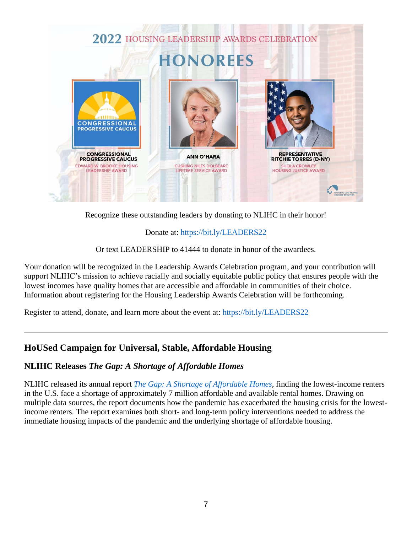

Recognize these outstanding leaders by donating to NLIHC in their honor!

#### Donate at:<https://bit.ly/LEADERS22>

Or text LEADERSHIP to 41444 to donate in honor of the awardees.

Your donation will be recognized in the Leadership Awards Celebration program, and your contribution will support NLIHC's mission to achieve racially and socially equitable public policy that ensures people with the lowest incomes have quality homes that are accessible and affordable in communities of their choice. Information about registering for the Housing Leadership Awards Celebration will be forthcoming.

Register to attend, donate, and learn more about the event at: <https://bit.ly/LEADERS22>

## **HoUSed Campaign for Universal, Stable, Affordable Housing**

## **NLIHC Releases** *The Gap: A Shortage of Affordable Homes*

NLIHC released its annual report *[The Gap: A Shortage of Affordable Homes](https://reports.nlihc.org/gap)*, finding the lowest-income renters in the U.S. face a shortage of approximately 7 million affordable and available rental homes. Drawing on multiple data sources, the report documents how the pandemic has exacerbated the housing crisis for the lowestincome renters. The report examines both short- and long-term policy interventions needed to address the immediate housing impacts of the pandemic and the underlying shortage of affordable housing.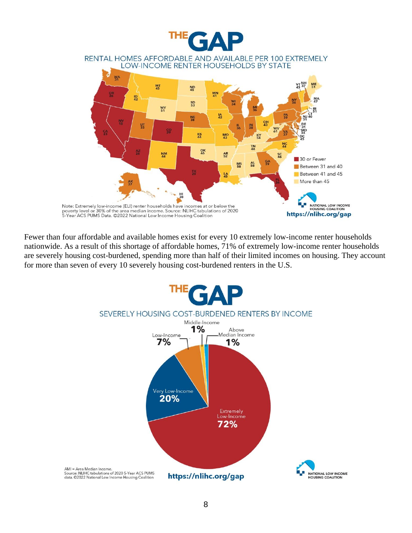

Fewer than four affordable and available homes exist for every 10 extremely low-income renter households nationwide. As a result of this shortage of affordable homes, 71% of extremely low-income renter households are severely housing cost-burdened, spending more than half of their limited incomes on housing. They account for more than seven of every 10 severely housing cost-burdened renters in the U.S.

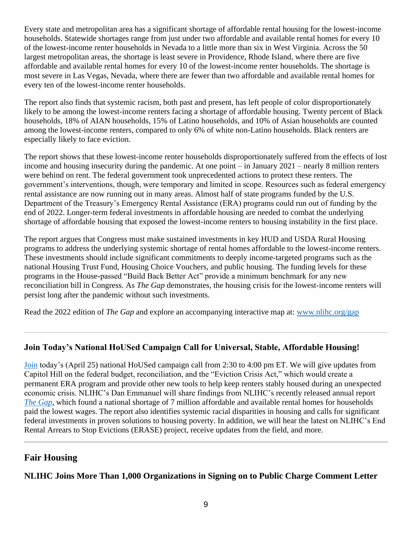Every state and metropolitan area has a significant shortage of affordable rental housing for the lowest-income households. Statewide shortages range from just under two affordable and available rental homes for every 10 of the lowest-income renter households in Nevada to a little more than six in West Virginia. Across the 50 largest metropolitan areas, the shortage is least severe in Providence, Rhode Island, where there are five affordable and available rental homes for every 10 of the lowest-income renter households. The shortage is most severe in Las Vegas, Nevada, where there are fewer than two affordable and available rental homes for every ten of the lowest-income renter households.

The report also finds that systemic racism, both past and present, has left people of color disproportionately likely to be among the lowest-income renters facing a shortage of affordable housing. Twenty percent of Black households, 18% of AIAN households, 15% of Latino households, and 10% of Asian households are counted among the lowest-income renters, compared to only 6% of white non-Latino households. Black renters are especially likely to face eviction.

The report shows that these lowest-income renter households disproportionately suffered from the effects of lost income and housing insecurity during the pandemic. At one point – in January 2021 – nearly 8 million renters were behind on rent. The federal government took unprecedented actions to protect these renters. The government's interventions, though, were temporary and limited in scope. Resources such as federal emergency rental assistance are now running out in many areas. Almost half of state programs funded by the U.S. Department of the Treasury's Emergency Rental Assistance (ERA) programs could run out of funding by the end of 2022. Longer-term federal investments in affordable housing are needed to combat the underlying shortage of affordable housing that exposed the lowest-income renters to housing instability in the first place.

The report argues that Congress must make sustained investments in key HUD and USDA Rural Housing programs to address the underlying systemic shortage of rental homes affordable to the lowest-income renters. These investments should include significant commitments to deeply income-targeted programs such as the national Housing Trust Fund, Housing Choice Vouchers, and public housing. The funding levels for these programs in the House-passed "Build Back Better Act" provide a minimum benchmark for any new reconciliation bill in Congress. As *The Gap* demonstrates, the housing crisis for the lowest-income renters will persist long after the pandemic without such investments.

Read the 2022 edition of *The Gap* and explore an accompanying interactive map at: [www.nlihc.org/gap](http://www.nlihc.org/gap)

## **Join Today's National HoUSed Campaign Call for Universal, Stable, Affordable Housing!**

[Join](https://us02web.zoom.us/webinar/register/WN_1XN2P7w2QnWvVc6Kp1q-nQ?utm_source=NLIHC+All+Subscribers&utm_campaign=5dc15097df-natl-call_102521&utm_medium=email&utm_term=0_e090383b5e-5dc15097df-&ct=t(natl-call_102521)) today's (April 25) national HoUSed campaign call from 2:30 to 4:00 pm ET. We will give updates from Capitol Hill on the federal budget, reconciliation, and the "Eviction Crisis Act," which would create a permanent ERA program and provide other new tools to help keep renters stably housed during an unexpected economic crisis. NLIHC's Dan Emmanuel will share findings from NLIHC's recently released annual report *[The Gap](http://www.nlihc.org/gap)*, which found a national shortage of 7 million affordable and available rental homes for households paid the lowest wages. The report also identifies systemic racial disparities in housing and calls for significant federal investments in proven solutions to housing poverty. In addition, we will hear the latest on NLIHC's End Rental Arrears to Stop Evictions (ERASE) project, receive updates from the field, and more.

## **Fair Housing**

**NLIHC Joins More Than 1,000 Organizations in Signing on to Public Charge Comment Letter**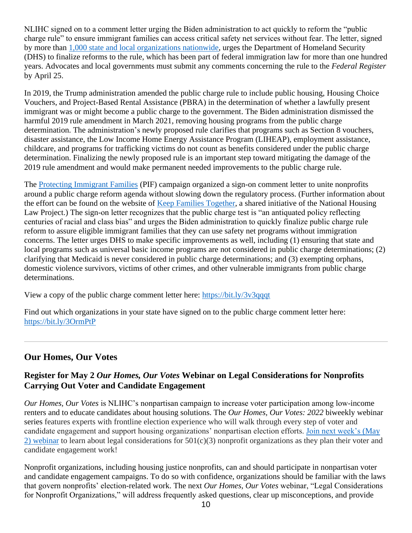NLIHC signed on to a comment letter urging the Biden administration to act quickly to reform the "public charge rule" to ensure immigrant families can access critical safety net services without fear. The letter, signed by more than [1,000 state and local organizations nationwide,](https://protectingimmigrantfamilies.org/commenttracker/) urges the Department of Homeland Security (DHS) to finalize reforms to the rule, which has been part of federal immigration law for more than one hundred years. Advocates and local governments must submit any comments concerning the rule to the *Federal Register*  by April 25.

In 2019, the Trump administration amended the public charge rule to include public housing, Housing Choice Vouchers, and Project-Based Rental Assistance (PBRA) in the determination of whether a lawfully present immigrant was or might become a public charge to the government. The Biden administration dismissed the harmful 2019 rule amendment in March 2021, removing housing programs from the public charge determination. The administration's newly proposed rule clarifies that programs such as Section 8 vouchers, disaster assistance, the Low Income Home Energy Assistance Program (LIHEAP), employment assistance, childcare, and programs for trafficking victims do not count as benefits considered under the public charge determination. Finalizing the newly proposed rule is an important step toward mitigating the damage of the 2019 rule amendment and would make permanent needed improvements to the public charge rule.

The [Protecting Immigrant Families](https://protectingimmigrantfamilies.org/) (PIF) campaign organized a sign-on comment letter to unite nonprofits around a public charge reform agenda without slowing down the regulatory process. (Further information about the effort can be found on the website of [Keep Families Together,](https://www.keep-families-together.org/) a shared initiative of the National Housing Law Project.) The sign-on letter recognizes that the public charge test is "an antiquated policy reflecting centuries of racial and class bias" and urges the Biden administration to quickly finalize public charge rule reform to assure eligible immigrant families that they can use safety net programs without immigration concerns. The letter urges DHS to make specific improvements as well, including (1) ensuring that state and local programs such as universal basic income programs are not considered in public charge determinations; (2) clarifying that Medicaid is never considered in public charge determinations; and (3) exempting orphans, domestic violence survivors, victims of other crimes, and other vulnerable immigrants from public charge determinations.

View a copy of the public charge comment letter here:<https://bit.ly/3v3qqqt>

Find out which organizations in your state have signed on to the public charge comment letter here: <https://bit.ly/3OrmPtP>

## **Our Homes, Our Votes**

### **Register for May 2** *Our Homes, Our Votes* **Webinar on Legal Considerations for Nonprofits Carrying Out Voter and Candidate Engagement**

*Our Homes, Our Votes* is NLIHC's nonpartisan campaign to increase voter participation among low-income renters and to educate candidates about housing solutions. The *Our Homes, Our Votes: 2022* biweekly webinar series features experts with frontline election experience who will walk through every step of voter and candidate engagement and support housing organizations' nonpartisan election efforts. [Join next week's \(May](https://us02web.zoom.us/webinar/register/WN_GvAr3T_pSZGRNqcvU7YMyg)  [2\) webinar](https://us02web.zoom.us/webinar/register/WN_GvAr3T_pSZGRNqcvU7YMyg) to learn about legal considerations for  $501(c)(3)$  nonprofit organizations as they plan their voter and candidate engagement work!

Nonprofit organizations, including housing justice nonprofits, can and should participate in nonpartisan voter and candidate engagement campaigns. To do so with confidence, organizations should be familiar with the laws that govern nonprofits' election-related work. The next *Our Homes, Our Votes* webinar, "Legal Considerations for Nonprofit Organizations," will address frequently asked questions, clear up misconceptions, and provide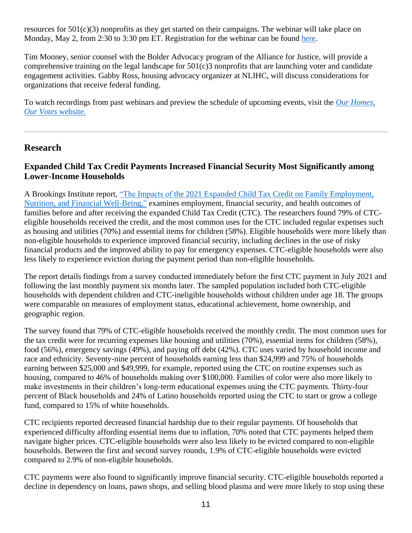resources for 501(c)(3) nonprofits as they get started on their campaigns. The webinar will take place on Monday, May 2, from 2:30 to 3:30 pm ET. Registration for the webinar can be found [here.](https://us02web.zoom.us/webinar/register/WN_GvAr3T_pSZGRNqcvU7YMyg)

Tim Mooney, senior counsel with the Bolder Advocacy program of the Alliance for Justice, will provide a comprehensive training on the legal landscape for 501(c)3 nonprofits that are launching voter and candidate engagement activities. Gabby Ross, housing advocacy organizer at NLIHC, will discuss considerations for organizations that receive federal funding.

To watch recordings from past webinars and preview the schedule of upcoming events, visit the *[Our Homes,](https://www.ourhomes-ourvotes.org/webinars)  [Our Votes](https://www.ourhomes-ourvotes.org/webinars)* website.

## **Research**

### **Expanded Child Tax Credit Payments Increased Financial Security Most Significantly among Lower-Income Households**

A Brookings Institute report, ["The Impacts of the 2021 Expanded Child Tax Credit on Family Employment,](https://www.brookings.edu/wp-content/uploads/2022/04/Child-Tax-Credit-Report-Final_Updated.pdf)  [Nutrition, and Financial Well-Being,"](https://www.brookings.edu/wp-content/uploads/2022/04/Child-Tax-Credit-Report-Final_Updated.pdf) examines employment, financial security, and health outcomes of families before and after receiving the expanded Child Tax Credit (CTC). The researchers found 79% of CTCeligible households received the credit, and the most common uses for the CTC included regular expenses such as housing and utilities (70%) and essential items for children (58%). Eligible households were more likely than non-eligible households to experience improved financial security, including declines in the use of risky financial products and the improved ability to pay for emergency expenses. CTC-eligible households were also less likely to experience eviction during the payment period than non-eligible households.

The report details findings from a survey conducted immediately before the first CTC payment in July 2021 and following the last monthly payment six months later. The sampled population included both CTC-eligible households with dependent children and CTC-ineligible households without children under age 18. The groups were comparable on measures of employment status, educational achievement, home ownership, and geographic region.

The survey found that 79% of CTC-eligible households received the monthly credit. The most common uses for the tax credit were for recurring expenses like housing and utilities (70%), essential items for children (58%), food (56%), emergency savings (49%), and paying off debt (42%). CTC uses varied by household income and race and ethnicity. Seventy-nine percent of households earning less than \$24,999 and 75% of households earning between \$25,000 and \$49,999, for example, reported using the CTC on routine expenses such as housing, compared to 46% of households making over \$100,000. Families of color were also more likely to make investments in their children's long-term educational expenses using the CTC payments. Thirty-four percent of Black households and 24% of Latino households reported using the CTC to start or grow a college fund, compared to 15% of white households.

CTC recipients reported decreased financial hardship due to their regular payments. Of households that experienced difficulty affording essential items due to inflation, 70% noted that CTC payments helped them navigate higher prices. CTC-eligible households were also less likely to be evicted compared to non-eligible households. Between the first and second survey rounds, 1.9% of CTC-eligible households were evicted compared to 2.9% of non-eligible households.

CTC payments were also found to significantly improve financial security. CTC-eligible households reported a decline in dependency on loans, pawn shops, and selling blood plasma and were more likely to stop using these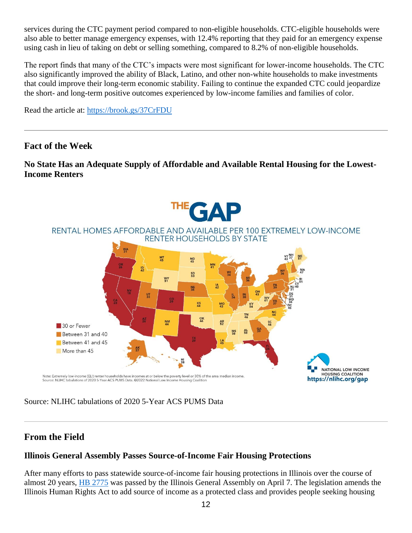services during the CTC payment period compared to non-eligible households. CTC-eligible households were also able to better manage emergency expenses, with 12.4% reporting that they paid for an emergency expense using cash in lieu of taking on debt or selling something, compared to 8.2% of non-eligible households.

The report finds that many of the CTC's impacts were most significant for lower-income households. The CTC also significantly improved the ability of Black, Latino, and other non-white households to make investments that could improve their long-term economic stability. Failing to continue the expanded CTC could jeopardize the short- and long-term positive outcomes experienced by low-income families and families of color.

Read the article at:<https://brook.gs/37CrFDU>

## **Fact of the Week**

#### **No State Has an Adequate Supply of Affordable and Available Rental Housing for the Lowest-Income Renters**



Source: NLIHC tabulations of 2020 5-Year ACS PUMS Data

## **From the Field**

#### **Illinois General Assembly Passes Source-of-Income Fair Housing Protections**

After many efforts to pass statewide source-of-income fair housing protections in Illinois over the course of almost 20 years, [HB 2775](https://ilga.gov/legislation/billstatus.asp?DocNum=2775&GAID=16&GA=102&DocTypeID=HB&LegID=131629&SessionID=110) was passed by the Illinois General Assembly on April 7. The legislation amends the Illinois Human Rights Act to add source of income as a protected class and provides people seeking housing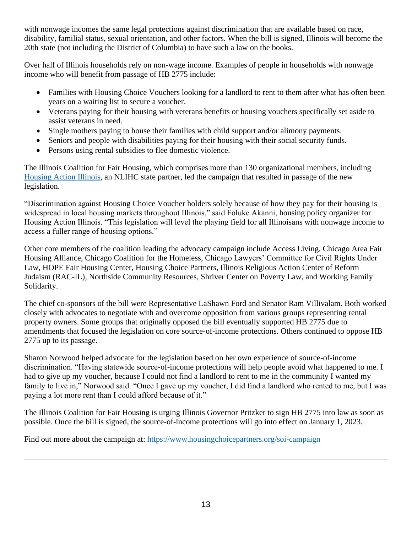with nonwage incomes the same legal protections against discrimination that are available based on race, disability, familial status, sexual orientation, and other factors. When the bill is signed, Illinois will become the 20th state (not including the District of Columbia) to have such a law on the books.

Over half of Illinois households rely on non-wage income. Examples of people in households with nonwage income who will benefit from passage of HB 2775 include:

- Families with Housing Choice Vouchers looking for a landlord to rent to them after what has often been years on a waiting list to secure a voucher.
- Veterans paying for their housing with veterans benefits or housing vouchers specifically set aside to assist veterans in need.
- Single mothers paying to house their families with child support and/or alimony payments.
- Seniors and people with disabilities paying for their housing with their social security funds.
- Persons using rental subsidies to flee domestic violence.

The Illinois Coalition for Fair Housing, which comprises more than 130 organizational members, including [Housing Action Illinois,](https://housingactionil.org/) an NLIHC state partner, led the campaign that resulted in passage of the new legislation.

"Discrimination against Housing Choice Voucher holders solely because of how they pay for their housing is widespread in local housing markets throughout Illinois," said Foluke Akanni, housing policy organizer for Housing Action Illinois. "This legislation will level the playing field for all Illinoisans with nonwage income to access a fuller range of housing options."

Other core members of the coalition leading the advocacy campaign include Access Living, Chicago Area Fair Housing Alliance, Chicago Coalition for the Homeless, Chicago Lawyers' Committee for Civil Rights Under Law, HOPE Fair Housing Center, Housing Choice Partners, Illinois Religious Action Center of Reform Judaism (RAC-IL), Northside Community Resources, Shriver Center on Poverty Law, and Working Family Solidarity.

The chief co-sponsors of the bill were Representative LaShawn Ford and Senator Ram Villivalam. Both worked closely with advocates to negotiate with and overcome opposition from various groups representing rental property owners. Some groups that originally opposed the bill eventually supported HB 2775 due to amendments that focused the legislation on core source-of-income protections. Others continued to oppose HB 2775 up to its passage.

Sharon Norwood helped advocate for the legislation based on her own experience of source-of-income discrimination. "Having statewide source-of-income protections will help people avoid what happened to me. I had to give up my voucher, because I could not find a landlord to rent to me in the community I wanted my family to live in," Norwood said. "Once I gave up my voucher, I did find a landlord who rented to me, but I was paying a lot more rent than I could afford because of it."

The Illinois Coalition for Fair Housing is urging Illinois Governor Pritzker to sign HB 2775 into law as soon as possible. Once the bill is signed, the source-of-income protections will go into effect on January 1, 2023.

Find out more about the campaign at: <https://www.housingchoicepartners.org/soi-campaign>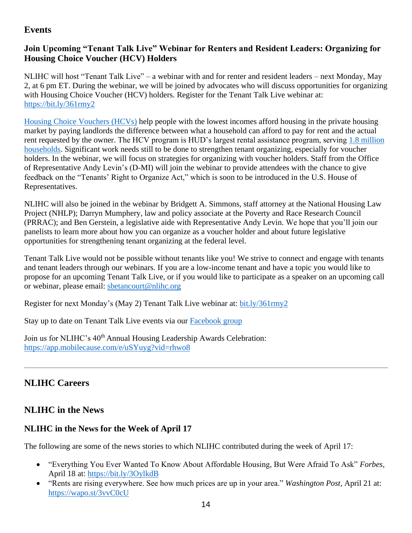## **Events**

## **Join Upcoming "Tenant Talk Live" Webinar for Renters and Resident Leaders: Organizing for Housing Choice Voucher (HCV) Holders**

NLIHC will host "Tenant Talk Live" – a webinar with and for renter and resident leaders – next Monday, May 2, at 6 pm ET. During the webinar, we will be joined by advocates who will discuss opportunities for organizing with Housing Choice Voucher (HCV) holders. Register for the Tenant Talk Live webinar at: <https://bit.ly/361rmy2>

[Housing Choice Vouchers \(HCVs\)](https://nlihc.org/sites/default/files/2022-03/2022AG_4-01_Housing-Choice-Vouchers.pdf) help people with the lowest incomes afford housing in the private housing market by paying landlords the difference between what a household can afford to pay for rent and the actual rent requested by the owner. The HCV program is HUD's largest rental assistance program, serving [1.8 million](https://nlihc.org/sites/default/files/2022-03/2022AG_4-01_Housing-Choice-Vouchers.pdf)  [households.](https://nlihc.org/sites/default/files/2022-03/2022AG_4-01_Housing-Choice-Vouchers.pdf) Significant work needs still to be done to strengthen tenant organizing, especially for voucher holders. In the webinar, we will focus on strategies for organizing with voucher holders. Staff from the Office of Representative Andy Levin's (D-MI) will join the webinar to provide attendees with the chance to give feedback on the "Tenants' Right to Organize Act," which is soon to be introduced in the U.S. House of Representatives.

NLIHC will also be joined in the webinar by Bridgett A. Simmons, staff attorney at the National Housing Law Project (NHLP); Darryn Mumphery, law and policy associate at the Poverty and Race Research Council (PRRAC); and Ben Gerstein, a legislative aide with Representative Andy Levin. We hope that you'll join our panelists to learn more about how you can organize as a voucher holder and about future legislative opportunities for strengthening tenant organizing at the federal level.

Tenant Talk Live would not be possible without tenants like you! We strive to connect and engage with tenants and tenant leaders through our webinars. If you are a low-income tenant and have a topic you would like to propose for an upcoming Tenant Talk Live, or if you would like to participate as a speaker on an upcoming call or webinar, please email: [sbetancourt@nlihc.org](mailto:sbetancourt@nlihc.org)

Register for next Monday's (May 2) Tenant Talk Live webinar at: [bit.ly/361rmy2](https://bit.ly/361rmy2)

Stay up to date on Tenant Talk Live events via our [Facebook group](https://www.facebook.com/groups/TenantTalk/)

Join us for NLIHC's 40<sup>th</sup> Annual Housing Leadership Awards Celebration: <https://app.mobilecause.com/e/uSYuyg?vid=rhwo8>

## **NLIHC Careers**

## **NLIHC in the News**

## **NLIHC in the News for the Week of April 17**

The following are some of the news stories to which NLIHC contributed during the week of April 17:

- "Everything You Ever Wanted To Know About Affordable Housing, But Were Afraid To Ask" *Forbes,* April 18 at:<https://bit.ly/3OylkdB>
- "Rents are rising everywhere. See how much prices are up in your area." *Washington Post,* April 21 at: <https://wapo.st/3vvC0cU>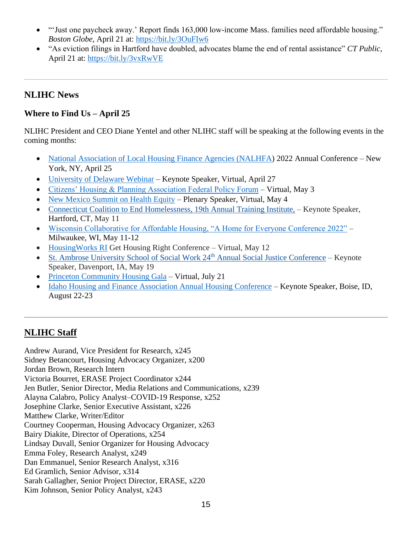- "'Just one paycheck away.' Report finds 163,000 low-income Mass. families need affordable housing." *Boston Globe*, April 21 at:<https://bit.ly/3OuFIw6>
- "As eviction filings in Hartford have doubled, advocates blame the end of rental assistance" *CT Public*, April 21 at:<https://bit.ly/3vxRwVE>

## **NLIHC News**

## **Where to Find Us – April 25**

NLIHC President and CEO Diane Yentel and other NLIHC staff will be speaking at the following events in the coming months:

- [National Association of Local Housing Finance Agencies \(NALHFA\)](https://nam04.safelinks.protection.outlook.com/?url=http%3A%2F%2Fwww.nalhfa.org%2F&data=04%7C01%7C%7C85398fd9d3f8476d2cd508da1bff25d4%7Cd9ab7747cd104372b0b3229c61592adf%7C0%7C0%7C637853079972286512%7CUnknown%7CTWFpbGZsb3d8eyJWIjoiMC4wLjAwMDAiLCJQIjoiV2luMzIiLCJBTiI6Ik1haWwiLCJXVCI6Mn0%3D%7C1000&sdata=tYRhyVFlcJ9oXOda%2F0%2BEjI1xoHochK5SLiR1MQfMEZE%3D&reserved=0) 2022 Annual Conference New York, NY, April 25
- [University of Delaware Webinar](https://www.udel.edu/) Keynote Speaker, Virtual, April 27
- [Citizens' Housing & Planning Association Federal Policy Forum](https://www.chapa.org/) Virtual, May 3
- [New Mexico Summit on Health Equity](https://whova.com/portal/registration/cnae_202108/) Plenary Speaker, Virtual, May 4
- [Connecticut Coalition to End Homelessness, 19th Annual Training Institute,](https://nam04.safelinks.protection.outlook.com/?url=https%3A%2F%2Fnlihc.us4.list-manage.com%2Ftrack%2Fclick%3Fu%3De702259618becdc3f0451bd5d%26id%3D0a07af1f9c%26e%3D1f62443a73&data=04%7C01%7C%7Cd4f86c2808314d1d3dba08d9faed43d2%7Cd9ab7747cd104372b0b3229c61592adf%7C0%7C0%7C637816719238131402%7CUnknown%7CTWFpbGZsb3d8eyJWIjoiMC4wLjAwMDAiLCJQIjoiV2luMzIiLCJBTiI6Ik1haWwiLCJXVCI6Mn0%3D%7C3000&sdata=fuuzWu4wnuK0vtkCF7mnNLlt65teaqkx7kv5okGlD2Y%3D&reserved=0) Keynote Speaker, Hartford, CT, May 11
- [Wisconsin Collaborative for Affordable Housing, "A Home for Everyone Conference 2022"](https://ahomeforeveryone.events/) Milwaukee, WI, May 11-12
- [HousingWorks RI](https://www.housingworksri.org/) Get Housing Right Conference Virtual, May 12
- [St. Ambrose University School of Social Work 24](https://nam04.safelinks.protection.outlook.com/?url=https%3A%2F%2Fnlihc.us4.list-manage.com%2Ftrack%2Fclick%3Fu%3De702259618becdc3f0451bd5d%26id%3Dcff378f09d%26e%3D1f62443a73&data=04%7C01%7C%7Cd4f86c2808314d1d3dba08d9faed43d2%7Cd9ab7747cd104372b0b3229c61592adf%7C0%7C0%7C637816719238131402%7CUnknown%7CTWFpbGZsb3d8eyJWIjoiMC4wLjAwMDAiLCJQIjoiV2luMzIiLCJBTiI6Ik1haWwiLCJXVCI6Mn0%3D%7C3000&sdata=AVkiZYwfk%2F1Lxw0v4j%2BU%2Fonc2UGGneWqJ1OMCzSZAYs%3D&reserved=0)th Annual Social Justice Conference Keynote Speaker, Davenport, IA, May 19
- [Princeton Community Housing Gala](https://www.pchhomes.org/) Virtual, July 21
- [Idaho Housing and Finance Association Annual Housing Conference](https://www.idahohousing.com/housing-conference/) Keynote Speaker, Boise, ID, August 22-23

# **[NLIHC](https://nlihc.org/about/staff) Staff**

Andrew Aurand, Vice President for Research, x245 Sidney Betancourt, Housing Advocacy Organizer, x200 Jordan Brown, Research Intern Victoria Bourret, ERASE Project Coordinator x244 Jen Butler, Senior Director, Media Relations and Communications, x239 Alayna Calabro, Policy Analyst–COVID-19 Response, x252 Josephine Clarke, Senior Executive Assistant, x226 Matthew Clarke, Writer/Editor Courtney Cooperman, Housing Advocacy Organizer, x263 Bairy Diakite, Director of Operations, x254 Lindsay Duvall, Senior Organizer for Housing Advocacy Emma Foley, Research Analyst, x249 Dan Emmanuel, Senior Research Analyst, x316 Ed Gramlich, Senior Advisor, x314 Sarah Gallagher, Senior Project Director, ERASE, x220 Kim Johnson, Senior Policy Analyst, x243